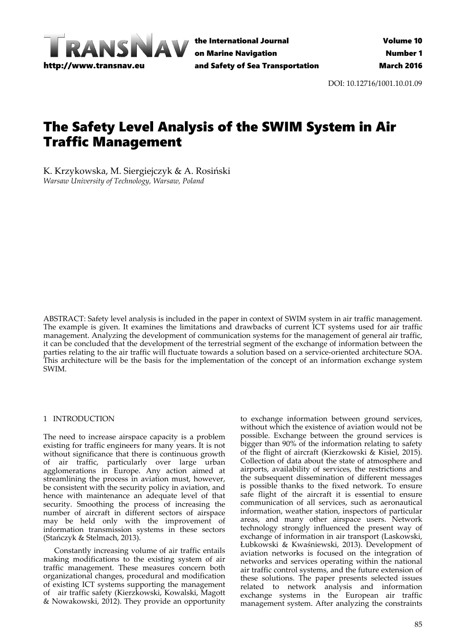

the International Journal on Marine Navigation and Safety of Sea Transportation

DOI: 10.12716/1001.10.01.09

# The Safety Level Analysis of the SWIM System in Air Traffic Management

K. Krzykowska, M. Siergiejczyk & A. Rosiński *Warsaw University of Technology, Warsaw, Poland*

ABSTRACT: Safety level analysis is included in the paper in context of SWIM system in air traffic management. The example is given. It examines the limitations and drawbacks of current ICT systems used for air traffic management. Analyzing the development of communication systems for the management of general air traffic, it can be concluded that the development of the terrestrial segment of the exchange of information between the parties relating to the air traffic will fluctuate towards a solution based on a service-oriented architecture SOA. This architecture will be the basis for the implementation of the concept of an information exchange system SWIM.

# 1 INTRODUCTION

The need to increase airspace capacity is a problem existing for traffic engineers for many years. It is not without significance that there is continuous growth of air traffic, particularly over large urban agglomerations in Europe. Any action aimed at streamlining the process in aviation must, however, be consistent with the security policy in aviation, and hence with maintenance an adequate level of that security. Smoothing the process of increasing the number of aircraft in different sectors of airspace may be held only with the improvement of information transmission systems in these sectors (Stańczyk & Stelmach, 2013).

Constantly increasing volume of air traffic entails making modifications to the existing system of air traffic management. These measures concern both organizational changes, procedural and modification of existing ICT systems supporting the management of air traffic safety (Kierzkowski, Kowalski, Magott & Nowakowski, 2012). They provide an opportunity to exchange information between ground services, without which the existence of aviation would not be possible. Exchange between the ground services is bigger than 90% of the information relating to safety of the flight of aircraft (Kierzkowski & Kisiel, 2015). Collection of data about the state of atmosphere and airports, availability of services, the restrictions and the subsequent dissemination of different messages is possible thanks to the fixed network. To ensure safe flight of the aircraft it is essential to ensure communication of all services, such as aeronautical information, weather station, inspectors of particular areas, and many other airspace users. Network technology strongly influenced the present way of exchange of information in air transport (Laskowski, Łubkowski & Kwaśniewski, 2013). Development of aviation networks is focused on the integration of networks and services operating within the national air traffic control systems, and the future extension of these solutions. The paper presents selected issues related to network analysis and information exchange systems in the European air traffic management system. After analyzing the constraints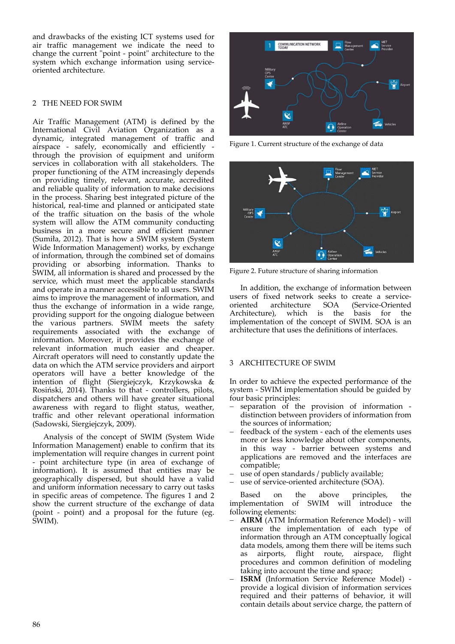and drawbacks of the existing ICT systems used for air traffic management we indicate the need to change the current "point - point" architecture to the system which exchange information using service‐ oriented architecture.

# 2 THE NEED FOR SWIM

Air Traffic Management (ATM) is defined by the International Civil Aviation Organization as a dynamic, integrated management of traffic and airspace - safely, economically and efficiently through the provision of equipment and uniform services in collaboration with all stakeholders. The proper functioning of the ATM increasingly depends on providing timely, relevant, accurate, accredited and reliable quality of information to make decisions in the process. Sharing best integrated picture of the historical, real-time and planned or anticipated state of the traffic situation on the basis of the whole system will allow the ATM community conducting business in a more secure and efficient manner (Sumiła, 2012). That is how a SWIM system (System Wide Information Management) works, by exchange of information, through the combined set of domains providing or absorbing information. Thanks to SWIM, all information is shared and processed by the service, which must meet the applicable standards and operate in a manner accessible to all users. SWIM aims to improve the management of information, and thus the exchange of information in a wide range, providing support for the ongoing dialogue between the various partners. SWIM meets the safety requirements associated with the exchange of information. Moreover, it provides the exchange of relevant information much easier and cheaper. Aircraft operators will need to constantly update the data on which the ATM service providers and airport operators will have a better knowledge of the intention of flight (Siergiejczyk, Krzykowska & Rosiński, 2014). Thanks to that - controllers, pilots, dispatchers and others will have greater situational awareness with regard to flight status, weather, traffic and other relevant operational information (Sadowski, Siergiejczyk, 2009).

Analysis of the concept of SWIM (System Wide Information Management) enable to confirm that its implementation will require changes in current point ‐ point architecture type (in area of exchange of information). It is assumed that entities may be geographically dispersed, but should have a valid and uniform information necessary to carry out tasks in specific areas of competence. The figures 1 and 2 show the current structure of the exchange of data (point - point) and a proposal for the future (eg. SWIM).



Figure 1. Current structure of the exchange of data



Figure 2. Future structure of sharing information

In addition, the exchange of information between users of fixed network seeks to create a service-<br>oriented architecture SOA (Service-Oriented (Service-Oriented Architecture), which is the basis for the implementation of the concept of SWIM. SOA is an architecture that uses the definitions of interfaces.

## 3 ARCHITECTURE OF SWIM

In order to achieve the expected performance of the system ‐ SWIM implementation should be guided by four basic principles:

- separation of the provision of information distinction between providers of information from the sources of information;
- feedback of the system ‐ each of the elements uses more or less knowledge about other components, in this way - barrier between systems and applications are removed and the interfaces are compatible;
- use of open standards / publicly available;
- use of service‐oriented architecture (SOA).

Based on the above principles, the implementation of SWIM will introduce the following elements:

- **AIRM** (ATM Information Reference Model) ‐ will ensure the implementation of each type of information through an ATM conceptually logical data models, among them there will be items such<br>as airports, flight route, airspace, flight as airports, flight route, airspace, flight procedures and common definition of modeling taking into account the time and space;
- **ISRM** (Information Service Reference Model) ‐ provide a logical division of information services required and their patterns of behavior, it will contain details about service charge, the pattern of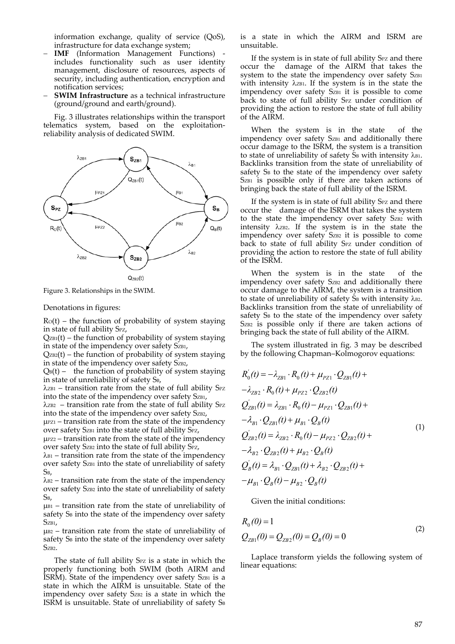information exchange, quality of service (QoS), infrastructure for data exchange system;

- **IMF** (Information Management Functions) ‐ includes functionality such as user identity management, disclosure of resources, aspects of security, including authentication, encryption and notification services;
- **SWIM Infrastructure** as a technical infrastructure (ground/ground and earth/ground).

Fig. 3 illustrates relationships within the transport telematics system, based on the exploitation‐ reliability analysis of dedicated SWIM.



Figure 3. Relationships in the SWIM.

#### Denotations in figures:

 $Ro(t)$  – the function of probability of system staying in state of full ability S<sub>PZ</sub>,

 $Q_{ZB1}(t)$  – the function of probability of system staying in state of the impendency over safety SzB1,

 $Qz_{B2}(t)$  – the function of probability of system staying in state of the impendency over safety SzB2,

 $Q_B(t)$  – the function of probability of system staying in state of unreliability of safety  $S_{B}$ ,

 $\lambda$ z $B1$  – transition rate from the state of full ability S<sub>PZ</sub> into the state of the impendency over safety SzB1,

 $\lambda$ z $B2$  – transition rate from the state of full ability S<sub>PZ</sub> into the state of the impendency over safety SzB2,

 $\mu$ <sub>PZ1</sub> – transition rate from the state of the impendency over safety  $S_{ZB1}$  into the state of full ability  $S_{PZ}$ ,

 $\mu$ <sub>r $2$ </sub> – transition rate from the state of the impendency over safety SzB2 into the state of full ability SPZ,

 $\lambda_{\text{B1}}$  – transition rate from the state of the impendency over safety SzB1 into the state of unreliability of safety SB,

 $\lambda_{B2}$  – transition rate from the state of the impendency over safety SzB2 into the state of unreliability of safety SB,

 $\mu$ <sub>B1</sub> – transition rate from the state of unreliability of safety  $S<sub>B</sub>$  into the state of the impendency over safety Sz<sub>B1</sub>,

 $\mu$ <sub>B2</sub> – transition rate from the state of unreliability of safety S<sub>B</sub> into the state of the impendency over safety Sz<sub>B2</sub>.

The state of full ability S<sub>PZ</sub> is a state in which the properly functioning both SWIM (both AIRM and  $\overline{ISRM}$ ). State of the impendency over safety Sz $_{B1}$  is a state in which the AIRM is unsuitable. State of the impendency over safety Sz<sub>B2</sub> is a state in which the ISRM is unsuitable. State of unreliability of safety SB is a state in which the AIRM and ISRM are unsuitable.

If the system is in state of full ability S<sub>PZ</sub> and there occur the damage of the AIRM that takes the system to the state the impendency over safety SzB1 with intensity  $\lambda$ <sub>ZB1</sub>. If the system is in the state the impendency over safety Sz<sub>B1</sub> it is possible to come back to state of full ability S<sub>PZ</sub> under condition of providing the action to restore the state of full ability of the AIRM.

When the system is in the state of the impendency over safety SzB1 and additionally there occur damage to the ISRM, the system is a transition to state of unreliability of safety  $S_B$  with intensity  $\lambda_{B1}$ . Backlinks transition from the state of unreliability of safety S<sub>B</sub> to the state of the impendency over safety  $S_{ZBI}$  is possible only if there are taken actions of bringing back the state of full ability of the ISRM.

If the system is in state of full ability S<sub>PZ</sub> and there occur the damage of the ISRM that takes the system to the state the impendency over safety SzB2 with intensity  $\lambda$ zB2. If the system is in the state the impendency over safety Sz<sub>B2</sub> it is possible to come back to state of full ability S<sub>PZ</sub> under condition of providing the action to restore the state of full ability of the ISRM.

When the system is in the state of the impendency over safety SzB2 and additionally there occur damage to the AIRM, the system is a transition to state of unreliability of safety  $\hat{S}_B$  with intensity  $\lambda_{B2}$ . Backlinks transition from the state of unreliability of safety  $S<sub>B</sub>$  to the state of the impendency over safety S<sub>ZB2</sub> is possible only if there are taken actions of bringing back the state of full ability of the AIRM.

The system illustrated in fig. 3 may be described by the following Chapman–Kolmogorov equations:

$$
R'_{0}(t) = -\lambda_{ZB1} \cdot R_{0}(t) + \mu_{PZ1} \cdot Q_{ZB1}(t) +\n-\lambda_{ZB2} \cdot R_{0}(t) + \mu_{PZ2} \cdot Q_{ZB2}(t) \nQ'_{ZB1}(t) = \lambda_{ZB1} \cdot R_{0}(t) - \mu_{PZ1} \cdot Q_{ZB1}(t) +\n-\lambda_{B1} \cdot Q_{ZB1}(t) + \mu_{B1} \cdot Q_{B}(t) \nQ'_{ZB2}(t) = \lambda_{ZB2} \cdot R_{0}(t) - \mu_{PZ2} \cdot Q_{ZB2}(t) +\n-\lambda_{B2} \cdot Q_{ZB2}(t) + \mu_{B2} \cdot Q_{B}(t) \nQ'_{B}(t) = \lambda_{B1} \cdot Q_{ZB1}(t) + \lambda_{B2} \cdot Q_{ZB2}(t) +\n-\mu_{B1} \cdot Q_{B}(t) - \mu_{B2} \cdot Q_{B}(t)
$$
\n(1)

Given the initial conditions:

$$
R_0(0) = 1
$$
  
\n
$$
Q_{ZB1}(0) = Q_{ZB2}(0) = Q_B(0) = 0
$$
\n(2)

Laplace transform yields the following system of linear equations: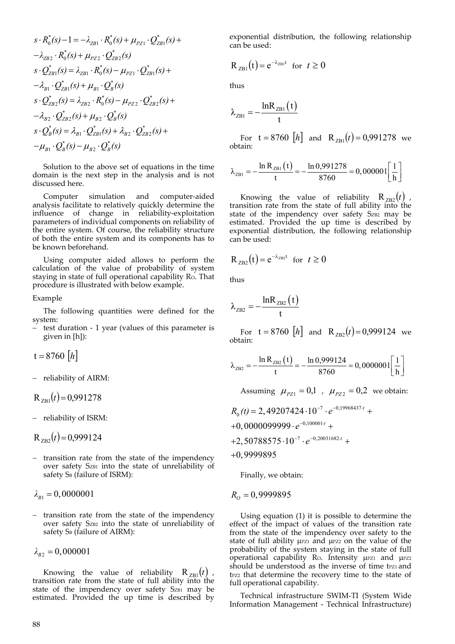$$
s \cdot R_{0}^{*}(s) - 1 = -\lambda_{ZB1} \cdot R_{0}^{*}(s) + \mu_{PZ1} \cdot Q_{ZB1}^{*}(s) +-\lambda_{ZB2} \cdot R_{0}^{*}(s) + \mu_{PZ2} \cdot Q_{ZB2}^{*}(s) s \cdot Q_{ZB1}^{*}(s) = \lambda_{ZB1} \cdot R_{0}^{*}(s) - \mu_{PZ1} \cdot Q_{ZB1}^{*}(s) +-\lambda_{B1} \cdot Q_{ZB1}^{*}(s) + \mu_{B1} \cdot Q_{B}^{*}(s) s \cdot Q_{ZB2}^{*}(s) = \lambda_{ZB2} \cdot R_{0}^{*}(s) - \mu_{PZ2} \cdot Q_{ZB2}^{*}(s) +-\lambda_{B2} \cdot Q_{ZB2}^{*}(s) + \mu_{B2} \cdot Q_{B}^{*}(s) s \cdot Q_{B}^{*}(s) = \lambda_{B1} \cdot Q_{ZB1}^{*}(s) + \lambda_{B2} \cdot Q_{ZB2}^{*}(s) +-\mu_{B1} \cdot Q_{B}^{*}(s) - \mu_{B2} \cdot Q_{B}^{*}(s)
$$

Solution to the above set of equations in the time domain is the next step in the analysis and is not discussed here.

Computer simulation and computer‐aided analysis facilitate to relatively quickly determine the influence of change in reliability-exploitation parameters of individual components on reliability of the entire system. Of course, the reliability structure of both the entire system and its components has to be known beforehand.

Using computer aided allows to perform the calculation of the value of probability of system staying in state of full operational capability Ro. That procedure is illustrated with below example.

Example

The following quantities were defined for the system:

- test duration - 1 year (values of this parameter is given in [h]):

 $t = 8760$   $[h]$ 

- reliability of AIRM:

 $R_{Z_{\text{R1}}}(t) = 0.991278$ 

- reliability of ISRM:

 $R_{ZB2}(t) = 0.999124$ 

- transition rate from the state of the impendency over safety SzB1 into the state of unreliability of safety  $S_B$  (failure of ISRM):

 $\lambda_{B1} = 0,0000001$ 

- transition rate from the state of the impendency over safety SzB2 into the state of unreliability of safety  $S_B$  (failure of AIRM):

 $\lambda_{B2} = 0,000001$ 

Knowing the value of reliability  $R_{ZBI}(t)$ , transition rate from the state of full ability into the state of the impendency over safety SzB1 may be estimated. Provided the up time is described by exponential distribution, the following relationship can be used:

$$
R_{ZB1}(t) = e^{-\lambda_{ZB1}t} \text{ for } t \ge 0
$$

thus

$$
\lambda_{\text{ZB1}} = -\frac{\ln R_{\text{ZB1}}(t)}{t}
$$

For  $t = 8760$  *h* and  $R_{zB1}(t) = 0.991278$  we obtain:

$$
\lambda_{ZB1} = -\frac{\ln R_{ZB1}(t)}{t} = -\frac{\ln 0.991278}{8760} = 0.000001 \left[ \frac{1}{h} \right]
$$

Knowing the value of reliability  $R_{ZB2}(t)$ , transition rate from the state of full ability into the state of the impendency over safety SzB2 may be estimated. Provided the up time is described by exponential distribution, the following relationship can be used:

$$
R_{ZB2}(t) = e^{-\lambda_{ZB2}t} \text{ for } t \ge 0
$$

thus

$$
\lambda_{\text{ZB2}} = -\frac{\ln R_{\text{ZB2}}(t)}{t}
$$

For  $t = 8760$  *h* and  $R_{ZB2}(t) = 0.999124$  we obtain:

$$
\lambda_{ZB2} = -\frac{\ln R_{ZB2}(t)}{t} = -\frac{\ln 0.999124}{8760} = 0.0000001 \left[ \frac{1}{h} \right]
$$

Assuming  $\mu_{PZ1} = 0,1$ ,  $\mu_{PZ2} = 0,2$  we obtain:

$$
R_0(t) = 2,49207424 \cdot 10^{-7} \cdot e^{-0,19968437 \cdot t} + 0,0000099999 \cdot e^{-0,100001 \cdot t} + 2,50788575 \cdot 10^{-7} \cdot e^{-0,20031682 \cdot t} + 0,9999895
$$

Finally, we obtain:

 $R_0 = 0,9999895$ 

Using equation (1) it is possible to determine the effect of the impact of values of the transition rate from the state of the impendency over safety to the state of full ability  $\mu$ <sub>21</sub> and  $\mu$ <sub>22</sub> on the value of the probability of the system staying in the state of full operational capability Ro. Intensity  $\mu$ PZ1 and  $\mu$ PZ2 should be understood as the inverse of time trzi and t<sub>PZ2</sub> that determine the recovery time to the state of full operational capability.

Technical infrastructure SWIM‐TI (System Wide Information Management ‐ Technical Infrastructure)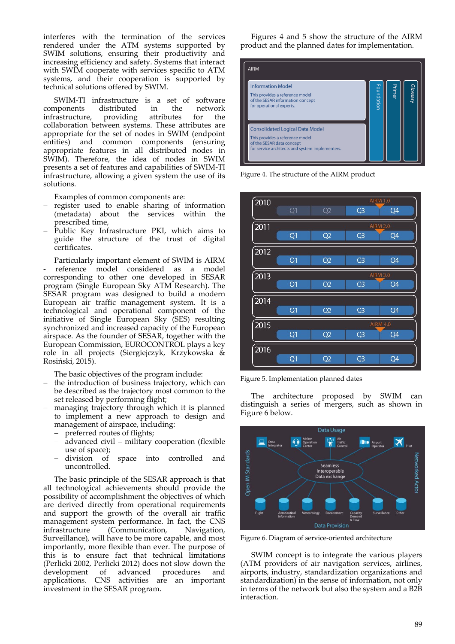interferes with the termination of the services rendered under the ATM systems supported by SWIM solutions, ensuring their productivity and increasing efficiency and safety. Systems that interact with SWIM cooperate with services specific to ATM systems, and their cooperation is supported by technical solutions offered by SWIM.

SWIM‐TI infrastructure is a set of software components distributed in the network<br>infrastructure, providing attributes for the infrastructure, providing attributes for the collaboration between systems. These attributes are appropriate for the set of nodes in SWIM (endpoint entities) and common components (ensuring appropriate features in all distributed nodes in SWIM). Therefore, the idea of nodes in SWIM presents a set of features and capabilities of SWIM‐TI infrastructure, allowing a given system the use of its solutions.

Examples of common components are:

- register used to enable sharing of information (metadata) about the services within the prescribed time,
- Public Key Infrastructure PKI, which aims to guide the structure of the trust of digital certificates.

Particularly important element of SWIM is AIRM ‐ reference model considered as a model corresponding to other one developed in SESAR program (Single European Sky ATM Research). The SESAR program was designed to build a modern European air traffic management system. It is a technological and operational component of the initiative of Single European Sky (SES) resulting synchronized and increased capacity of the European airspace. As the founder of SESAR, together with the European Commission, EUROCONTROL plays a key role in all projects (Siergiejczyk, Krzykowska & Rosiński, 2015).

The basic objectives of the program include:

- the introduction of business trajectory, which can be described as the trajectory most common to the set released by performing flight;
- managing trajectory through which it is planned to implement a new approach to design and management of airspace, including:
	- preferred routes of flights;
	- advanced civil military cooperation (flexible use of space);
	- space into controlled and uncontrolled.

The basic principle of the SESAR approach is that all technological achievements should provide the possibility of accomplishment the objectives of which are derived directly from operational requirements and support the growth of the overall air traffic management system performance. In fact, the CNS infrastructure (Communication, Navigation, Surveillance), will have to be more capable, and most importantly, more flexible than ever. The purpose of this is to ensure fact that technical limitations (Perlicki 2002, Perlicki 2012) does not slow down the development of advanced procedures and applications. CNS activities are an important investment in the SESAR program.

Figures 4 and 5 show the structure of the AIRM product and the planned dates for implementation.



Figure 4. The structure of the AIRM product



Figure 5. Implementation planned dates

The architecture proposed by SWIM can distinguish a series of mergers, such as shown in Figure 6 below.



Figure 6. Diagram of service‐oriented architecture

SWIM concept is to integrate the various players (ATM providers of air navigation services, airlines, airports, industry, standardization organizations and standardization) in the sense of information, not only in terms of the network but also the system and a B2B interaction.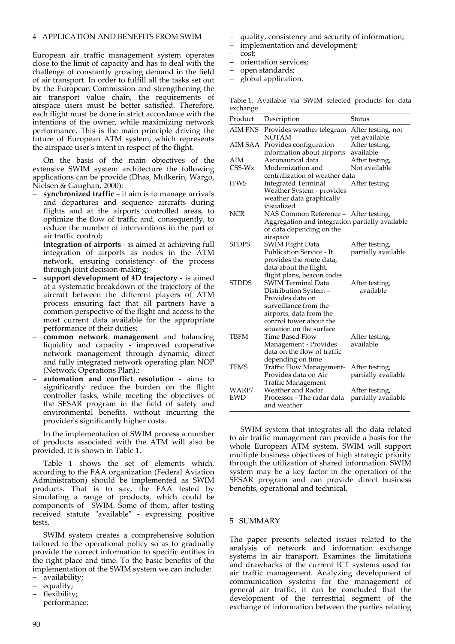European air traffic management system operates close to the limit of capacity and has to deal with the challenge of constantly growing demand in the field of air transport. In order to fulfill all the tasks set out by the European Commission and strengthening the air transport value chain, the requirements of airspace users must be better satisfied. Therefore, each flight must be done in strict accordance with the intentions of the owner, while maximizing network performance. This is the main principle driving the future of European ATM system, which represents the airspace userʹs intent in respect of the flight.

On the basis of the main objectives of the extensive SWIM system architecture the following applications can be provide (Dhas, Mulkerin, Wargo, Nielsen & Gaughan, 2000):

- **synchronized traffic** it aim is to manage arrivals and departures and sequence aircrafts during flights and at the airports controlled areas, to optimize the flow of traffic and, consequently, to reduce the number of interventions in the part of air traffic control;
- **integration of airports** ‐ is aimed at achieving full integration of airports as nodes in the ATM network, ensuring consistency of the process through joint decision‐making;
- **support development of 4D trajectory** ‐ is aimed at a systematic breakdown of the trajectory of the aircraft between the different players of ATM process ensuring fact that all partners have a common perspective of the flight and access to the most current data available for the appropriate performance of their duties;
- **common network management** and balancing liquidity and capacity ‐ improved cooperative network management through dynamic, direct and fully integrated network operating plan NOP (Network Operations Plan).;
- **automation and conflict resolution** ‐ aims to significantly reduce the burden on the flight controller tasks, while meeting the objectives of the SESAR program in the field of safety and environmental benefits, without incurring the providerʹs significantly higher costs.

In the implementation of SWIM process a number of products associated with the ATM will also be provided, it is shown in Table 1.

Table 1 shows the set of elements which, according to the FAA organization (Federal Aviation Administration) should be implemented as SWIM products. That is to say, the FAA tested by simulating a range of products, which could be components of SWIM. Some of them, after testing received statute "available" - expressing positive tests.

SWIM system creates a comprehensive solution tailored to the operational policy so as to gradually provide the correct information to specific entities in the right place and time. To the basic benefits of the implementation of the SWIM system we can include:

- availability;
- equality; flexibility;
- performance;
- quality, consistency and security of information;
- implementation and development;
- cost;
- orientation services;
- open standards;
- global application.

Table 1. Available via SWIM selected products for data exchange \_\_\_\_\_\_\_\_\_\_\_\_\_\_\_\_\_\_\_\_\_\_\_\_\_\_\_\_\_\_\_\_\_\_\_\_\_\_\_\_\_\_\_\_\_\_\_

| Product        | Description                                             | <b>Status</b>                         |
|----------------|---------------------------------------------------------|---------------------------------------|
| <b>AIM FNS</b> | Provides weather telegram                               | After testing, not                    |
|                | <b>NOTAM</b>                                            | yet available                         |
| AIM SAA        | Provides configuration                                  | After testing,                        |
|                | information about airports                              | available                             |
| AIM            | Aeronautical data                                       | After testing,                        |
| $CSS-Wx$       | Modernization and                                       | Not available                         |
|                | centralization of weather data                          |                                       |
| <b>ITWS</b>    | <b>Integrated Terminal</b>                              | After testing                         |
|                | Weather System - provides                               |                                       |
|                | weather data graphically                                |                                       |
|                | visualized                                              |                                       |
| NCR            | NAS Common Reference - After testing,                   |                                       |
|                | Aggregation and integration partially available         |                                       |
|                | of data depending on the                                |                                       |
|                | airspace                                                |                                       |
| <b>SFDPS</b>   | SWIM Flight Data                                        | After testing,                        |
|                | Publication Service - It                                | partially available                   |
|                | provides the route data,                                |                                       |
|                | data about the flight,                                  |                                       |
|                | flight plans, beacon codes                              |                                       |
| <b>STDDS</b>   | SWIM Terminal Data                                      | After testing,                        |
|                | Distribution System -                                   | available                             |
|                | Provides data on                                        |                                       |
|                | surveillance from the                                   |                                       |
|                | airports, data from the                                 |                                       |
|                | control tower about the                                 |                                       |
|                | situation on the surface                                |                                       |
| <b>TBFM</b>    | Time Based Flow                                         | After testing,                        |
|                | Management - Provides                                   | available                             |
|                | data on the flow of traffic                             |                                       |
|                | depending on time                                       |                                       |
| <b>TFMS</b>    | <b>Traffic Flow Management-</b><br>Provides data on Air | After testing,                        |
|                |                                                         | partially available                   |
| WARP/          | Traffic Management                                      |                                       |
| <b>EWD</b>     | Weather and Radar<br>Processor - The radar data         | After testing,<br>partially available |
|                | and weather                                             |                                       |
|                |                                                         |                                       |

SWIM system that integrates all the data related to air traffic management can provide a basis for the whole European ATM system. SWIM will support multiple business objectives of high strategic priority through the utilization of shared information. SWIM system may be a key factor in the operation of the SESAR program and can provide direct business benefits, operational and technical.

#### 5 SUMMARY

The paper presents selected issues related to the analysis of network and information exchange systems in air transport. Examines the limitations and drawbacks of the current ICT systems used for air traffic management. Analyzing development of communication systems for the management of general air traffic, it can be concluded that the development of the terrestrial segment of the exchange of information between the parties relating